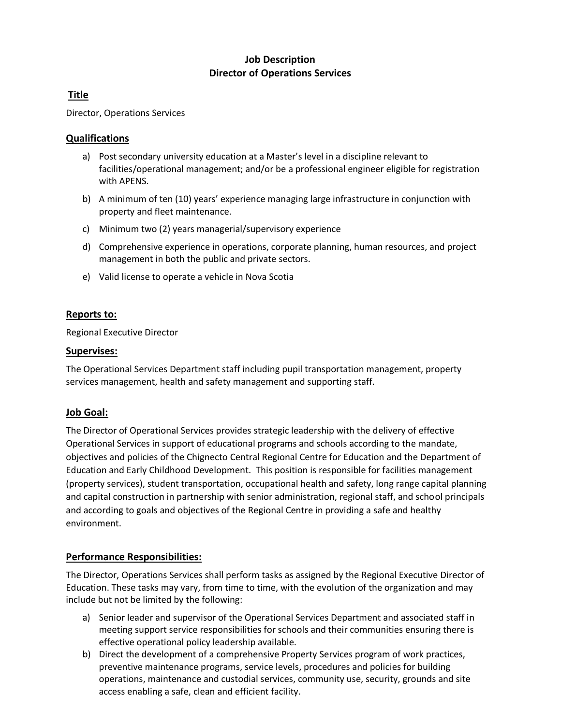## **Job Description Director of Operations Services**

# **Title**

Director, Operations Services

### **Qualifications**

- a) Post secondary university education at a Master's level in a discipline relevant to facilities/operational management; and/or be a professional engineer eligible for registration with APENS.
- b) A minimum of ten (10) years' experience managing large infrastructure in conjunction with property and fleet maintenance.
- c) Minimum two (2) years managerial/supervisory experience
- d) Comprehensive experience in operations, corporate planning, human resources, and project management in both the public and private sectors.
- e) Valid license to operate a vehicle in Nova Scotia

## **Reports to:**

Regional Executive Director

#### **Supervises:**

The Operational Services Department staff including pupil transportation management, property services management, health and safety management and supporting staff.

## **Job Goal:**

The Director of Operational Services provides strategic leadership with the delivery of effective Operational Services in support of educational programs and schools according to the mandate, objectives and policies of the Chignecto Central Regional Centre for Education and the Department of Education and Early Childhood Development. This position is responsible for facilities management (property services), student transportation, occupational health and safety, long range capital planning and capital construction in partnership with senior administration, regional staff, and school principals and according to goals and objectives of the Regional Centre in providing a safe and healthy environment.

#### **Performance Responsibilities:**

The Director, Operations Services shall perform tasks as assigned by the Regional Executive Director of Education. These tasks may vary, from time to time, with the evolution of the organization and may include but not be limited by the following:

- a) Senior leader and supervisor of the Operational Services Department and associated staff in meeting support service responsibilities for schools and their communities ensuring there is effective operational policy leadership available.
- b) Direct the development of a comprehensive Property Services program of work practices, preventive maintenance programs, service levels, procedures and policies for building operations, maintenance and custodial services, community use, security, grounds and site access enabling a safe, clean and efficient facility.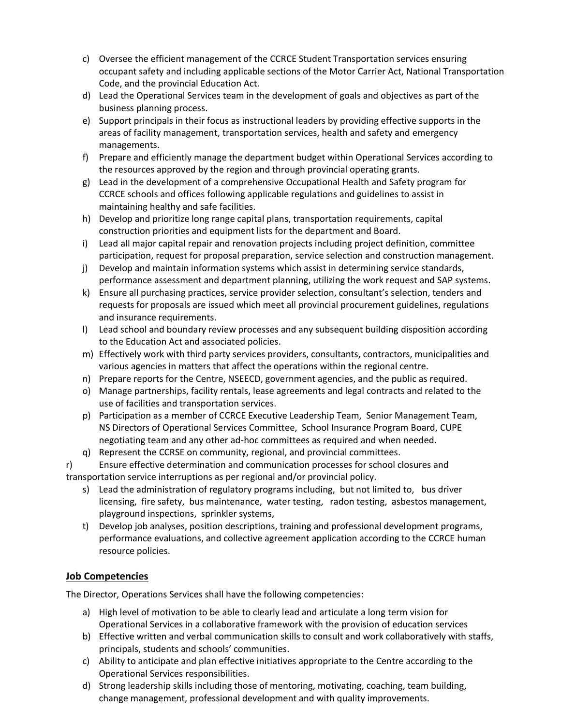- c) Oversee the efficient management of the CCRCE Student Transportation services ensuring occupant safety and including applicable sections of the Motor Carrier Act, National Transportation Code, and the provincial Education Act.
- d) Lead the Operational Services team in the development of goals and objectives as part of the business planning process.
- e) Support principals in their focus as instructional leaders by providing effective supports in the areas of facility management, transportation services, health and safety and emergency managements.
- f) Prepare and efficiently manage the department budget within Operational Services according to the resources approved by the region and through provincial operating grants.
- g) Lead in the development of a comprehensive Occupational Health and Safety program for CCRCE schools and offices following applicable regulations and guidelines to assist in maintaining healthy and safe facilities.
- h) Develop and prioritize long range capital plans, transportation requirements, capital construction priorities and equipment lists for the department and Board.
- i) Lead all major capital repair and renovation projects including project definition, committee participation, request for proposal preparation, service selection and construction management.
- j) Develop and maintain information systems which assist in determining service standards, performance assessment and department planning, utilizing the work request and SAP systems.
- k) Ensure all purchasing practices, service provider selection, consultant's selection, tenders and requests for proposals are issued which meet all provincial procurement guidelines, regulations and insurance requirements.
- l) Lead school and boundary review processes and any subsequent building disposition according to the Education Act and associated policies.
- m) Effectively work with third party services providers, consultants, contractors, municipalities and various agencies in matters that affect the operations within the regional centre.
- n) Prepare reports for the Centre, NSEECD, government agencies, and the public as required.
- o) Manage partnerships, facility rentals, lease agreements and legal contracts and related to the use of facilities and transportation services.
- p) Participation as a member of CCRCE Executive Leadership Team, Senior Management Team, NS Directors of Operational Services Committee, School Insurance Program Board, CUPE negotiating team and any other ad-hoc committees as required and when needed.
- q) Represent the CCRSE on community, regional, and provincial committees.
- r) Ensure effective determination and communication processes for school closures and transportation service interruptions as per regional and/or provincial policy.
	- s) Lead the administration of regulatory programs including, but not limited to, bus driver licensing, fire safety, bus maintenance, water testing, radon testing, asbestos management, playground inspections, sprinkler systems,
	- t) Develop job analyses, position descriptions, training and professional development programs, performance evaluations, and collective agreement application according to the CCRCE human resource policies.

## **Job Competencies**

The Director, Operations Services shall have the following competencies:

- a) High level of motivation to be able to clearly lead and articulate a long term vision for Operational Services in a collaborative framework with the provision of education services
- b) Effective written and verbal communication skills to consult and work collaboratively with staffs, principals, students and schools' communities.
- c) Ability to anticipate and plan effective initiatives appropriate to the Centre according to the Operational Services responsibilities.
- d) Strong leadership skills including those of mentoring, motivating, coaching, team building, change management, professional development and with quality improvements.